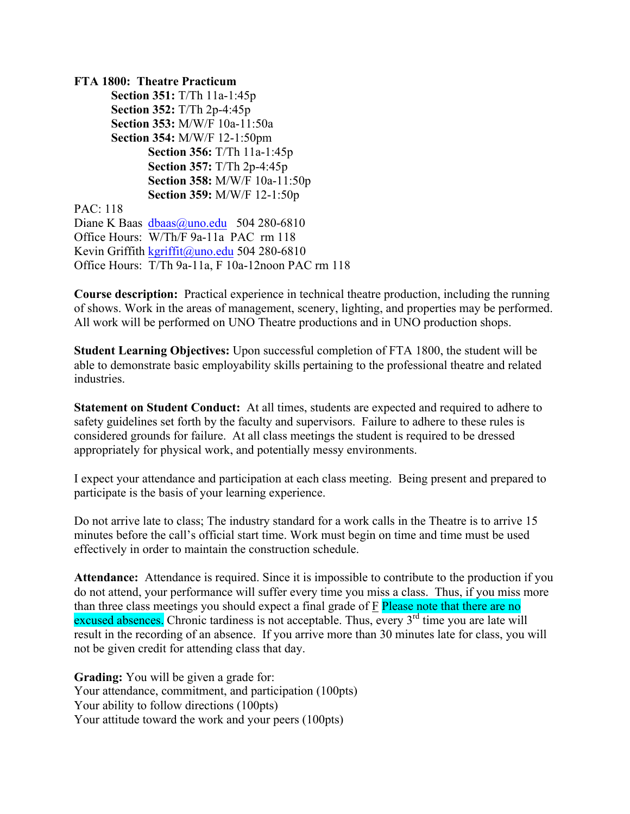**FTA 1800: Theatre Practicum Section 351:** T/Th 11a-1:45p **Section 352:** T/Th 2p-4:45p **Section 353:** M/W/F 10a-11:50a **Section 354:** M/W/F 12-1:50pm **Section 356:** T/Th 11a-1:45p **Section 357:** T/Th 2p-4:45p **Section 358:** M/W/F 10a-11:50p **Section 359:** M/W/F 12-1:50p PAC: 118 Diane K Baas dbaas@uno.edu 504 280-6810 Office Hours: W/Th/F 9a-11a PAC rm 118 Kevin Griffith kgriffit@uno.edu 504 280-6810 Office Hours: T/Th 9a-11a, F 10a-12noon PAC rm 118

**Course description:** Practical experience in technical theatre production, including the running of shows. Work in the areas of management, scenery, lighting, and properties may be performed. All work will be performed on UNO Theatre productions and in UNO production shops.

**Student Learning Objectives:** Upon successful completion of FTA 1800, the student will be able to demonstrate basic employability skills pertaining to the professional theatre and related industries.

**Statement on Student Conduct:** At all times, students are expected and required to adhere to safety guidelines set forth by the faculty and supervisors. Failure to adhere to these rules is considered grounds for failure. At all class meetings the student is required to be dressed appropriately for physical work, and potentially messy environments.

I expect your attendance and participation at each class meeting. Being present and prepared to participate is the basis of your learning experience.

Do not arrive late to class; The industry standard for a work calls in the Theatre is to arrive 15 minutes before the call's official start time. Work must begin on time and time must be used effectively in order to maintain the construction schedule.

**Attendance:** Attendance is required. Since it is impossible to contribute to the production if you do not attend, your performance will suffer every time you miss a class. Thus, if you miss more than three class meetings you should expect a final grade of F Please note that there are no excused absences. Chronic tardiness is not acceptable. Thus, every  $3<sup>rd</sup>$  time you are late will result in the recording of an absence. If you arrive more than 30 minutes late for class, you will not be given credit for attending class that day.

**Grading:** You will be given a grade for: Your attendance, commitment, and participation (100pts) Your ability to follow directions (100pts) Your attitude toward the work and your peers (100pts)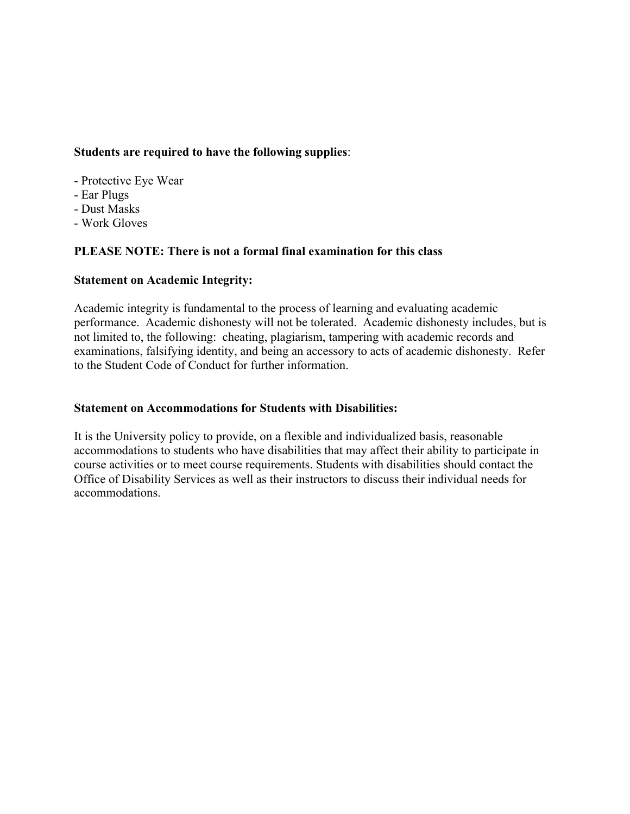# **Students are required to have the following supplies**:

- Protective Eye Wear
- Ear Plugs
- Dust Masks
- Work Gloves

# **PLEASE NOTE: There is not a formal final examination for this class**

# **Statement on Academic Integrity:**

Academic integrity is fundamental to the process of learning and evaluating academic performance. Academic dishonesty will not be tolerated. Academic dishonesty includes, but is not limited to, the following: cheating, plagiarism, tampering with academic records and examinations, falsifying identity, and being an accessory to acts of academic dishonesty. Refer to the Student Code of Conduct for further information.

# **Statement on Accommodations for Students with Disabilities:**

It is the University policy to provide, on a flexible and individualized basis, reasonable accommodations to students who have disabilities that may affect their ability to participate in course activities or to meet course requirements. Students with disabilities should contact the Office of Disability Services as well as their instructors to discuss their individual needs for accommodations.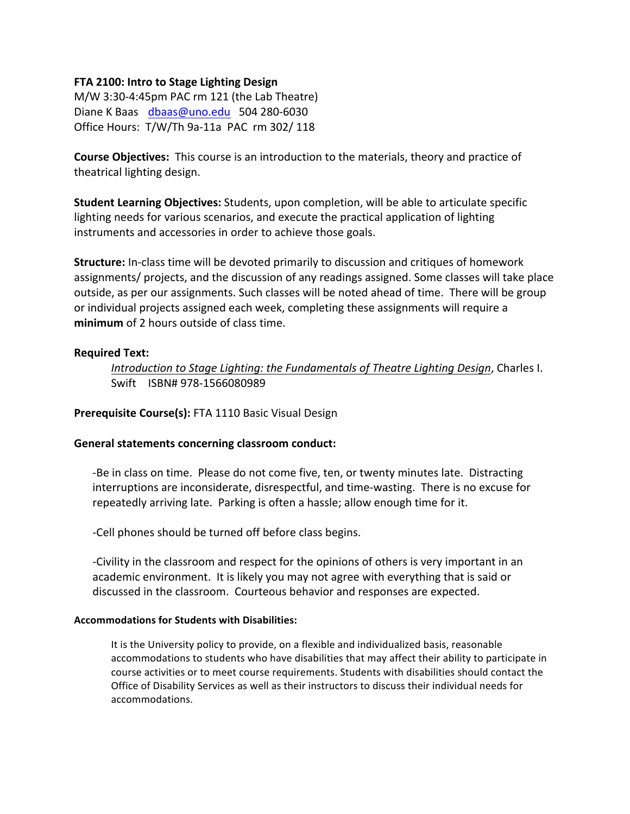### **FTA 2100: Intro to Stage Lighting Design**

 $M/W$  3:30-4:45pm PAC rm 121 (the Lab Theatre) Diane K Baas dbaas@uno.edu 504 280-6030 Office Hours: T/W/Th 9a-11a PAC rm 302/ 118

**Course Objectives:** This course is an introduction to the materials, theory and practice of theatrical lighting design.

**Student Learning Objectives:** Students, upon completion, will be able to articulate specific lighting needs for various scenarios, and execute the practical application of lighting instruments and accessories in order to achieve those goals.

**Structure:** In-class time will be devoted primarily to discussion and critiques of homework assignments/ projects, and the discussion of any readings assigned. Some classes will take place outside, as per our assignments. Such classes will be noted ahead of time. There will be group or individual projects assigned each week, completing these assignments will require a **minimum** of 2 hours outside of class time.

### **Required Text:**

*Introduction to Stage Lighting: the Fundamentals of Theatre Lighting Design, Charles I.* Swift ISBN# 978-1566080989

**Prerequisite Course(s): FTA 1110 Basic Visual Design** 

### General statements concerning classroom conduct:

-Be in class on time. Please do not come five, ten, or twenty minutes late. Distracting interruptions are inconsiderate, disrespectful, and time-wasting. There is no excuse for repeatedly arriving late. Parking is often a hassle; allow enough time for it.

-Cell phones should be turned off before class begins.

-Civility in the classroom and respect for the opinions of others is very important in an academic environment. It is likely you may not agree with everything that is said or discussed in the classroom. Courteous behavior and responses are expected.

### **Accommodations for Students with Disabilities:**

It is the University policy to provide, on a flexible and individualized basis, reasonable accommodations to students who have disabilities that may affect their ability to participate in course activities or to meet course requirements. Students with disabilities should contact the Office of Disability Services as well as their instructors to discuss their individual needs for accommodations.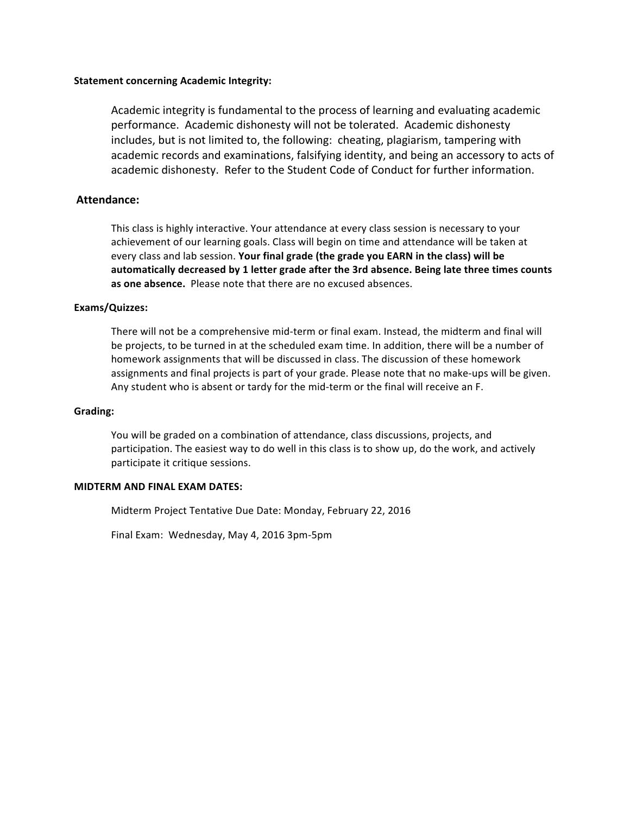Academic integrity is fundamental to the process of learning and evaluating academic performance. Academic dishonesty will not be tolerated. Academic dishonesty includes, but is not limited to, the following: cheating, plagiarism, tampering with academic records and examinations, falsifying identity, and being an accessory to acts of academic dishonesty. Refer to the Student Code of Conduct for further information.

### **Attendance:**

This class is highly interactive. Your attendance at every class session is necessary to your achievement of our learning goals. Class will begin on time and attendance will be taken at every class and lab session. Your final grade (the grade you EARN in the class) will be automatically decreased by 1 letter grade after the 3rd absence. Being late three times counts as one absence. Please note that there are no excused absences.

#### **Exams/Quizzes:**

There will not be a comprehensive mid-term or final exam. Instead, the midterm and final will be projects, to be turned in at the scheduled exam time. In addition, there will be a number of homework assignments that will be discussed in class. The discussion of these homework assignments and final projects is part of your grade. Please note that no make-ups will be given. Any student who is absent or tardy for the mid-term or the final will receive an F.

#### **Grading:**

You will be graded on a combination of attendance, class discussions, projects, and participation. The easiest way to do well in this class is to show up, do the work, and actively participate it critique sessions.

#### **MIDTERM AND FINAL EXAM DATES:**

Midterm Project Tentative Due Date: Monday, February 22, 2016

Final Exam: Wednesday, May 4, 2016 3pm-5pm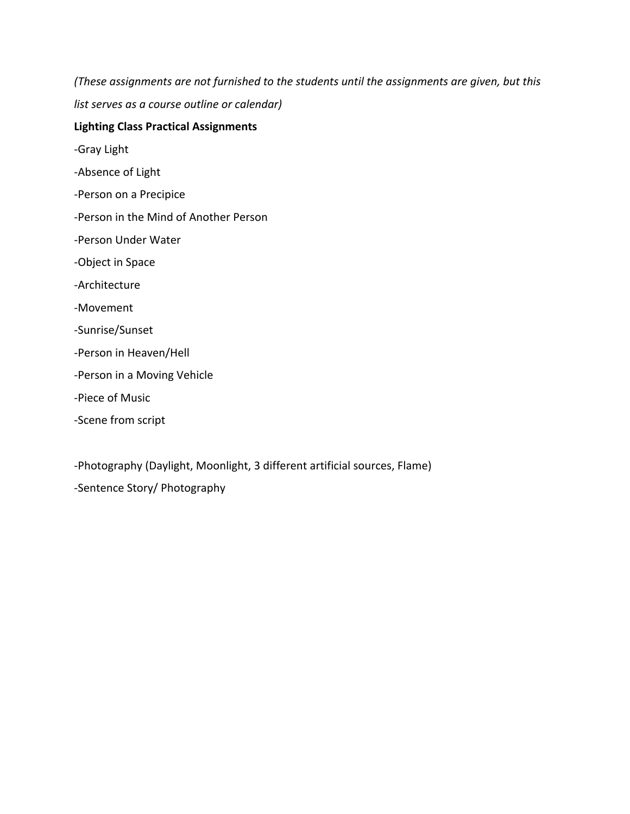*(These assignments are not furnished to the students until the assignments are given, but this list serves as a course outline or calendar)* 

# **Lighting Class Practical Assignments**

-Gray Light

- -Absence of Light
- -Person on a Precipice
- -Person in the Mind of Another Person
- -Person Under Water
- -Object in Space
- -Architecture
- -Movement
- -Sunrise/Sunset
- -Person in Heaven/Hell
- -Person in a Moving Vehicle
- -Piece of Music
- -Scene from script

-Photography (Daylight, Moonlight, 3 different artificial sources, Flame) -Sentence Story/ Photography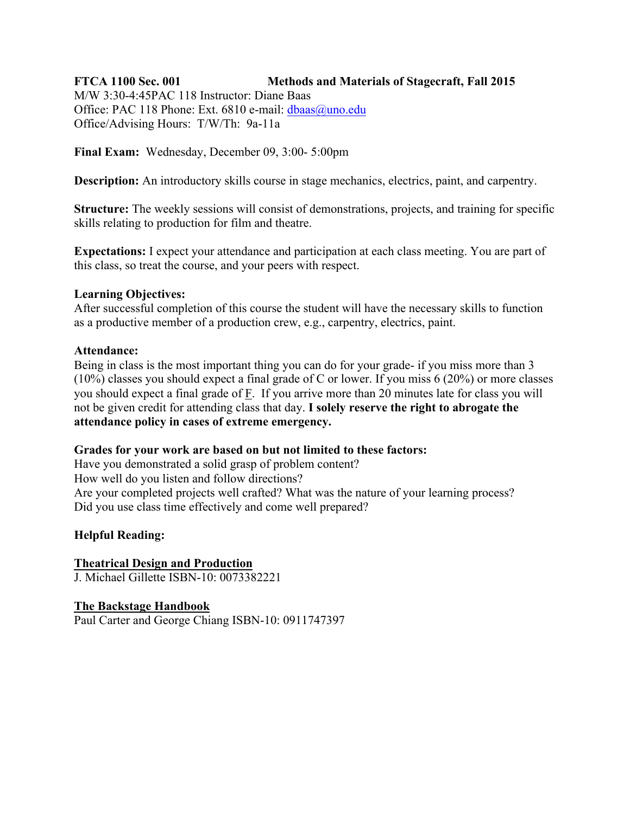# **FTCA 1100 Sec. 001 Methods and Materials of Stagecraft, Fall 2015**

M/W 3:30-4:45PAC 118 Instructor: Diane Baas Office: PAC 118 Phone: Ext. 6810 e-mail: dbaas@uno.edu Office/Advising Hours: T/W/Th: 9a-11a

**Final Exam:** Wednesday, December 09, 3:00- 5:00pm

**Description:** An introductory skills course in stage mechanics, electrics, paint, and carpentry.

**Structure:** The weekly sessions will consist of demonstrations, projects, and training for specific skills relating to production for film and theatre.

**Expectations:** I expect your attendance and participation at each class meeting. You are part of this class, so treat the course, and your peers with respect.

# **Learning Objectives:**

After successful completion of this course the student will have the necessary skills to function as a productive member of a production crew, e.g., carpentry, electrics, paint.

# **Attendance:**

Being in class is the most important thing you can do for your grade- if you miss more than 3 (10%) classes you should expect a final grade of C or lower. If you miss 6 (20%) or more classes you should expect a final grade of F. If you arrive more than 20 minutes late for class you will not be given credit for attending class that day. **I solely reserve the right to abrogate the attendance policy in cases of extreme emergency.**

# **Grades for your work are based on but not limited to these factors:**

Have you demonstrated a solid grasp of problem content?

How well do you listen and follow directions?

Are your completed projects well crafted? What was the nature of your learning process? Did you use class time effectively and come well prepared?

# **Helpful Reading:**

**Theatrical Design and Production** J. Michael Gillette ISBN-10: 0073382221

**The Backstage Handbook** Paul Carter and George Chiang ISBN-10: 0911747397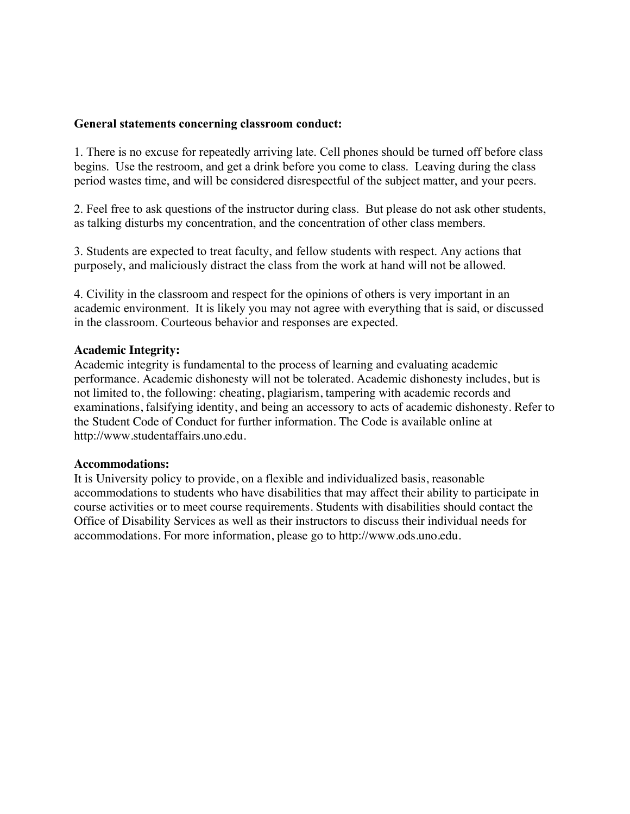### **General statements concerning classroom conduct:**

1. There is no excuse for repeatedly arriving late. Cell phones should be turned off before class begins. Use the restroom, and get a drink before you come to class. Leaving during the class period wastes time, and will be considered disrespectful of the subject matter, and your peers.

2. Feel free to ask questions of the instructor during class. But please do not ask other students, as talking disturbs my concentration, and the concentration of other class members.

3. Students are expected to treat faculty, and fellow students with respect. Any actions that purposely, and maliciously distract the class from the work at hand will not be allowed.

4. Civility in the classroom and respect for the opinions of others is very important in an academic environment. It is likely you may not agree with everything that is said, or discussed in the classroom. Courteous behavior and responses are expected.

### **Academic Integrity:**

Academic integrity is fundamental to the process of learning and evaluating academic performance. Academic dishonesty will not be tolerated. Academic dishonesty includes, but is not limited to, the following: cheating, plagiarism, tampering with academic records and examinations, falsifying identity, and being an accessory to acts of academic dishonesty. Refer to the Student Code of Conduct for further information. The Code is available online at http://www.studentaffairs.uno.edu.

### **Accommodations:**

It is University policy to provide, on a flexible and individualized basis, reasonable accommodations to students who have disabilities that may affect their ability to participate in course activities or to meet course requirements. Students with disabilities should contact the Office of Disability Services as well as their instructors to discuss their individual needs for accommodations. For more information, please go to http://www.ods.uno.edu.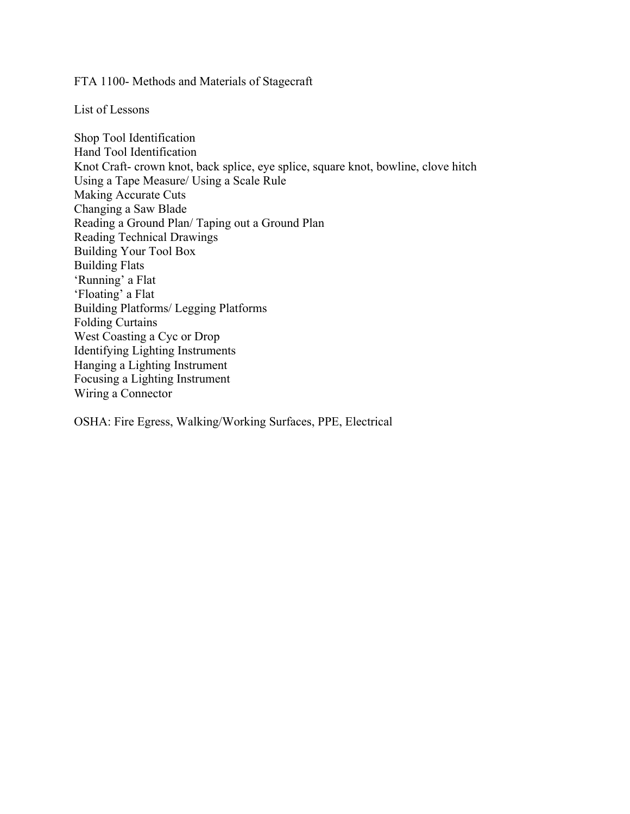FTA 1100- Methods and Materials of Stagecraft

List of Lessons

Shop Tool Identification Hand Tool Identification Knot Craft- crown knot, back splice, eye splice, square knot, bowline, clove hitch Using a Tape Measure/ Using a Scale Rule Making Accurate Cuts Changing a Saw Blade Reading a Ground Plan/ Taping out a Ground Plan Reading Technical Drawings Building Your Tool Box Building Flats 'Running' a Flat 'Floating' a Flat Building Platforms/ Legging Platforms Folding Curtains West Coasting a Cyc or Drop Identifying Lighting Instruments Hanging a Lighting Instrument Focusing a Lighting Instrument Wiring a Connector

OSHA: Fire Egress, Walking/Working Surfaces, PPE, Electrical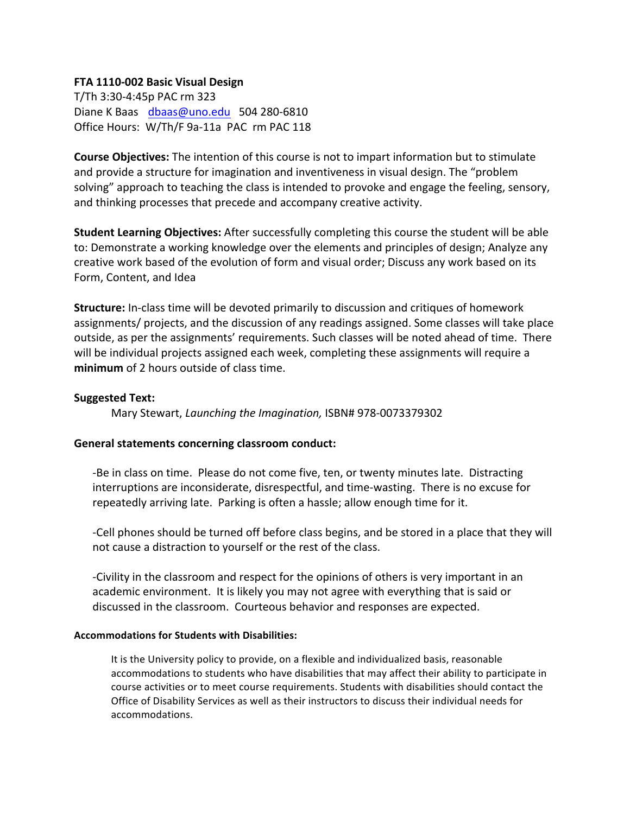# **FTA 1110-002 Basic Visual Design**

T/Th 3:30-4:45p PAC rm 323 Diane K Baas dbaas@uno.edu 504 280-6810 Office Hours: W/Th/F 9a-11a PAC rm PAC 118

**Course Objectives:** The intention of this course is not to impart information but to stimulate and provide a structure for imagination and inventiveness in visual design. The "problem solving" approach to teaching the class is intended to provoke and engage the feeling, sensory, and thinking processes that precede and accompany creative activity.

**Student Learning Objectives:** After successfully completing this course the student will be able to: Demonstrate a working knowledge over the elements and principles of design; Analyze any creative work based of the evolution of form and visual order; Discuss any work based on its Form, Content, and Idea

**Structure:** In-class time will be devoted primarily to discussion and critiques of homework assignments/ projects, and the discussion of any readings assigned. Some classes will take place outside, as per the assignments' requirements. Such classes will be noted ahead of time. There will be individual projects assigned each week, completing these assignments will require a **minimum** of 2 hours outside of class time.

### **Suggested Text:**

Mary Stewart, *Launching the Imagination*, ISBN# 978-0073379302

# General statements concerning classroom conduct:

-Be in class on time. Please do not come five, ten, or twenty minutes late. Distracting interruptions are inconsiderate, disrespectful, and time-wasting. There is no excuse for repeatedly arriving late. Parking is often a hassle; allow enough time for it.

-Cell phones should be turned off before class begins, and be stored in a place that they will not cause a distraction to yourself or the rest of the class.

-Civility in the classroom and respect for the opinions of others is very important in an academic environment. It is likely you may not agree with everything that is said or discussed in the classroom. Courteous behavior and responses are expected.

### **Accommodations for Students with Disabilities:**

It is the University policy to provide, on a flexible and individualized basis, reasonable accommodations to students who have disabilities that may affect their ability to participate in course activities or to meet course requirements. Students with disabilities should contact the Office of Disability Services as well as their instructors to discuss their individual needs for accommodations.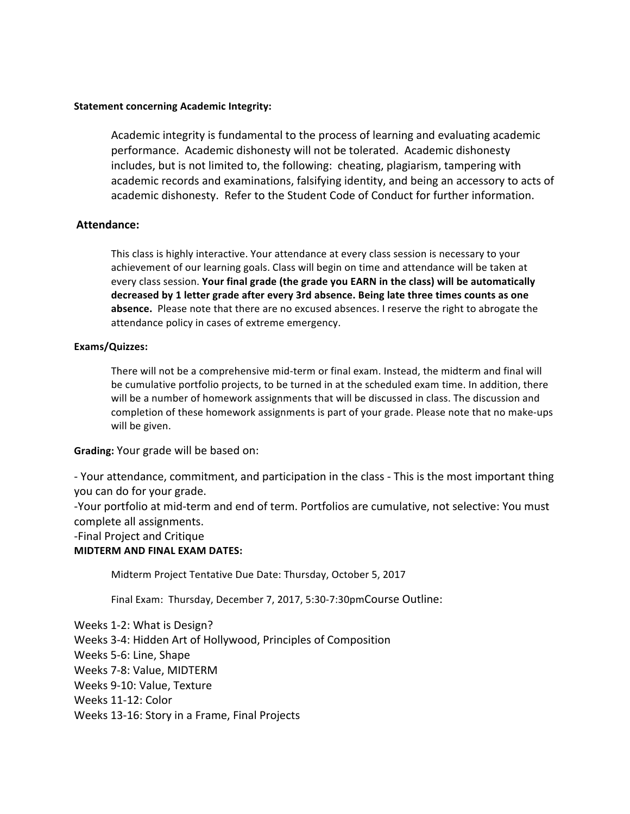Academic integrity is fundamental to the process of learning and evaluating academic performance. Academic dishonesty will not be tolerated. Academic dishonesty includes, but is not limited to, the following: cheating, plagiarism, tampering with academic records and examinations, falsifying identity, and being an accessory to acts of academic dishonesty. Refer to the Student Code of Conduct for further information.

### **Attendance:**

This class is highly interactive. Your attendance at every class session is necessary to your achievement of our learning goals. Class will begin on time and attendance will be taken at every class session. Your final grade (the grade you EARN in the class) will be automatically decreased by 1 letter grade after every 3rd absence. Being late three times counts as one **absence.** Please note that there are no excused absences. I reserve the right to abrogate the attendance policy in cases of extreme emergency.

### **Exams/Quizzes:**

There will not be a comprehensive mid-term or final exam. Instead, the midterm and final will be cumulative portfolio projects, to be turned in at the scheduled exam time. In addition, there will be a number of homework assignments that will be discussed in class. The discussion and completion of these homework assignments is part of your grade. Please note that no make-ups will be given.

### **Grading:** Your grade will be based on:

- Your attendance, commitment, and participation in the class - This is the most important thing you can do for your grade.

-Your portfolio at mid-term and end of term. Portfolios are cumulative, not selective: You must complete all assignments.

-Final Project and Critique 

### **MIDTERM AND FINAL EXAM DATES:**

Midterm Project Tentative Due Date: Thursday, October 5, 2017

Final Exam: Thursday, December 7, 2017, 5:30-7:30pmCourse Outline:

Weeks 1-2: What is Design? Weeks 3-4: Hidden Art of Hollywood, Principles of Composition Weeks 5-6: Line, Shape Weeks 7-8: Value, MIDTERM Weeks 9-10: Value, Texture Weeks 11-12: Color Weeks 13-16: Story in a Frame, Final Projects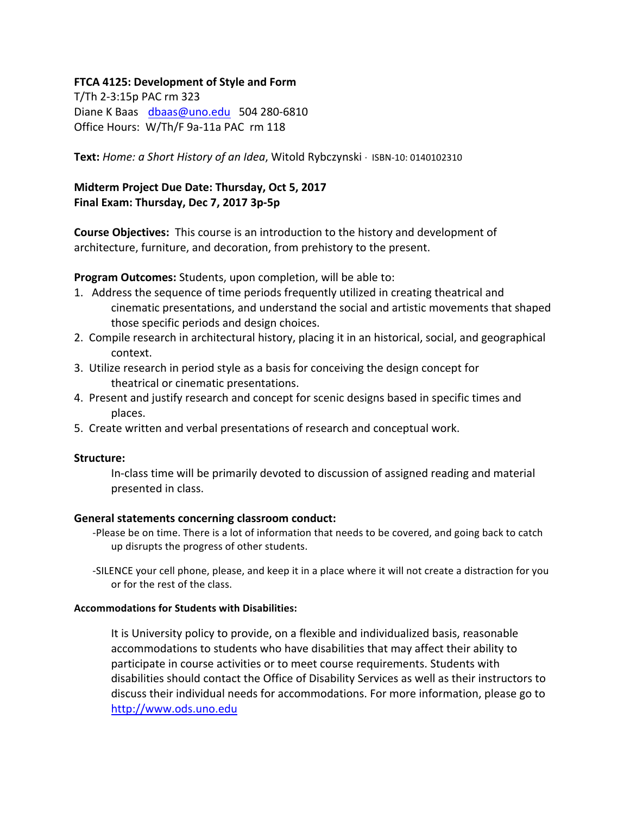# **FTCA 4125: Development of Style and Form**

T/Th 2-3:15p PAC rm 323 Diane K Baas dbaas@uno.edu 504 280-6810 Office Hours: W/Th/F 9a-11a PAC rm 118

Text: Home: a Short History of an Idea, Witold Rybczynski · ISBN-10: 0140102310

# **Midterm Project Due Date: Thursday, Oct 5, 2017** Final Exam: Thursday, Dec 7, 2017 3p-5p

**Course Objectives:** This course is an introduction to the history and development of architecture, furniture, and decoration, from prehistory to the present.

**Program Outcomes:** Students, upon completion, will be able to:

- 1. Address the sequence of time periods frequently utilized in creating theatrical and cinematic presentations, and understand the social and artistic movements that shaped those specific periods and design choices.
- 2. Compile research in architectural history, placing it in an historical, social, and geographical context.
- 3. Utilize research in period style as a basis for conceiving the design concept for theatrical or cinematic presentations.
- 4. Present and justify research and concept for scenic designs based in specific times and places.
- 5. Create written and verbal presentations of research and conceptual work.

### **Structure:**

In-class time will be primarily devoted to discussion of assigned reading and material presented in class.

### **General statements concerning classroom conduct:**

-Please be on time. There is a lot of information that needs to be covered, and going back to catch up disrupts the progress of other students.

-SILENCE your cell phone, please, and keep it in a place where it will not create a distraction for you or for the rest of the class.

### **Accommodations for Students with Disabilities:**

It is University policy to provide, on a flexible and individualized basis, reasonable accommodations to students who have disabilities that may affect their ability to participate in course activities or to meet course requirements. Students with disabilities should contact the Office of Disability Services as well as their instructors to discuss their individual needs for accommodations. For more information, please go to http://www.ods.uno.edu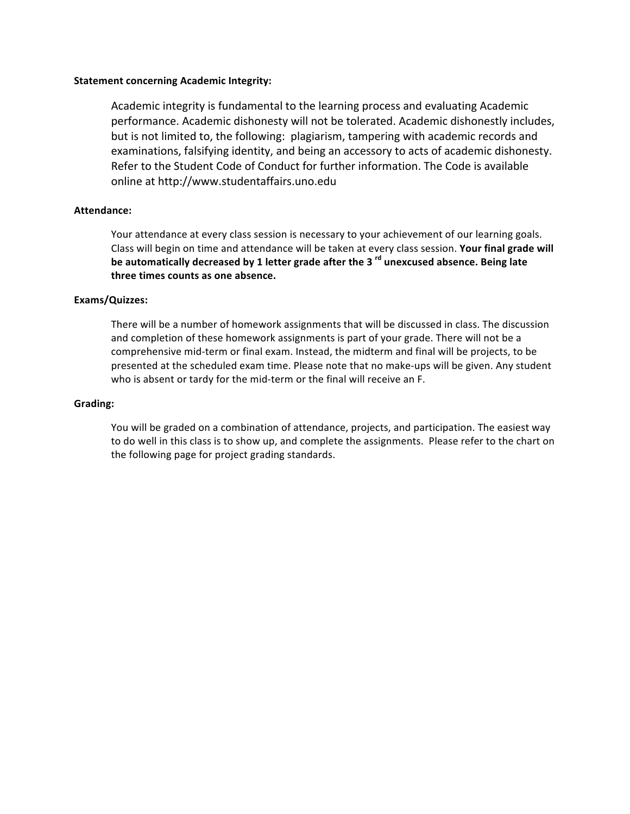Academic integrity is fundamental to the learning process and evaluating Academic performance. Academic dishonesty will not be tolerated. Academic dishonestly includes, but is not limited to, the following: plagiarism, tampering with academic records and examinations, falsifying identity, and being an accessory to acts of academic dishonesty. Refer to the Student Code of Conduct for further information. The Code is available online at http://www.studentaffairs.uno.edu

### **Attendance:**

Your attendance at every class session is necessary to your achievement of our learning goals. Class will begin on time and attendance will be taken at every class session. Your final grade will be automatically decreased by 1 letter grade after the 3<sup>rd</sup> unexcused absence. Being late three times counts as one absence.

#### **Exams/Quizzes:**

There will be a number of homework assignments that will be discussed in class. The discussion and completion of these homework assignments is part of your grade. There will not be a comprehensive mid-term or final exam. Instead, the midterm and final will be projects, to be presented at the scheduled exam time. Please note that no make-ups will be given. Any student who is absent or tardy for the mid-term or the final will receive an F.

#### **Grading:**

You will be graded on a combination of attendance, projects, and participation. The easiest way to do well in this class is to show up, and complete the assignments. Please refer to the chart on the following page for project grading standards.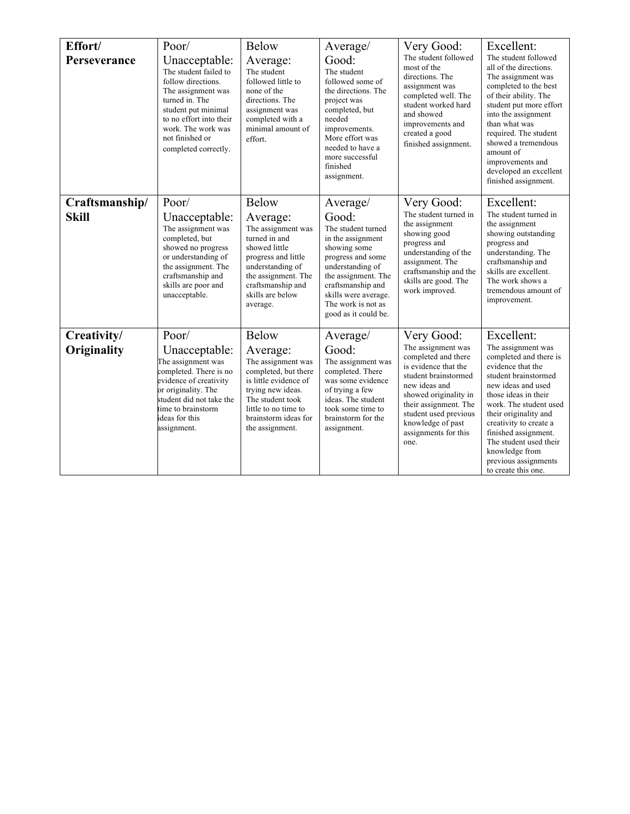| Effort/<br>Perseverance        | Poor/<br>Unacceptable:<br>The student failed to<br>follow directions.<br>The assignment was<br>turned in. The<br>student put minimal<br>to no effort into their<br>work. The work was<br>not finished or<br>completed correctly. | <b>Below</b><br>Average:<br>The student<br>followed little to<br>none of the<br>directions. The<br>assignment was<br>completed with a<br>minimal amount of<br>effort.                                | Average/<br>Good:<br>The student<br>followed some of<br>the directions. The<br>project was<br>completed, but<br>needed<br>improvements.<br>More effort was<br>needed to have a<br>more successful<br>finished<br>assignment.            | Very Good:<br>The student followed<br>most of the<br>directions. The<br>assignment was<br>completed well. The<br>student worked hard<br>and showed<br>improvements and<br>created a good<br>finished assignment.                                         | Excellent:<br>The student followed<br>all of the directions.<br>The assignment was<br>completed to the best<br>of their ability. The<br>student put more effort<br>into the assignment<br>than what was<br>required. The student<br>showed a tremendous<br>amount of<br>improvements and<br>developed an excellent<br>finished assignment.            |
|--------------------------------|----------------------------------------------------------------------------------------------------------------------------------------------------------------------------------------------------------------------------------|------------------------------------------------------------------------------------------------------------------------------------------------------------------------------------------------------|-----------------------------------------------------------------------------------------------------------------------------------------------------------------------------------------------------------------------------------------|----------------------------------------------------------------------------------------------------------------------------------------------------------------------------------------------------------------------------------------------------------|-------------------------------------------------------------------------------------------------------------------------------------------------------------------------------------------------------------------------------------------------------------------------------------------------------------------------------------------------------|
| Craftsmanship/<br><b>Skill</b> | Poor/<br>Unacceptable:<br>The assignment was<br>completed, but<br>showed no progress<br>or understanding of<br>the assignment. The<br>craftsmanship and<br>skills are poor and<br>unacceptable.                                  | Below<br>Average:<br>The assignment was<br>turned in and<br>showed little<br>progress and little<br>understanding of<br>the assignment. The<br>craftsmanship and<br>skills are below<br>average.     | Average/<br>Good:<br>The student turned<br>in the assignment<br>showing some<br>progress and some<br>understanding of<br>the assignment. The<br>craftsmanship and<br>skills were average.<br>The work is not as<br>good as it could be. | Very Good:<br>The student turned in<br>the assignment<br>showing good<br>progress and<br>understanding of the<br>assignment. The<br>craftsmanship and the<br>skills are good. The<br>work improved.                                                      | Excellent:<br>The student turned in<br>the assignment<br>showing outstanding<br>progress and<br>understanding. The<br>craftsmanship and<br>skills are excellent.<br>The work shows a<br>tremendous amount of<br>improvement.                                                                                                                          |
| Creativity/<br>Originality     | Poor/<br>Unacceptable:<br>The assignment was<br>completed. There is no<br>evidence of creativity<br>or originality. The<br>student did not take the<br>time to brainstorm<br>ideas for this<br>assignment.                       | Below<br>Average:<br>The assignment was<br>completed, but there<br>is little evidence of<br>trying new ideas.<br>The student took<br>little to no time to<br>brainstorm ideas for<br>the assignment. | Average/<br>Good:<br>The assignment was<br>completed. There<br>was some evidence<br>of trying a few<br>ideas. The student<br>took some time to<br>brainstorm for the<br>assignment.                                                     | Very Good:<br>The assignment was<br>completed and there<br>is evidence that the<br>student brainstormed<br>new ideas and<br>showed originality in<br>their assignment. The<br>student used previous<br>knowledge of past<br>assignments for this<br>one. | Excellent:<br>The assignment was<br>completed and there is<br>evidence that the<br>student brainstormed<br>new ideas and used<br>those ideas in their<br>work. The student used<br>their originality and<br>creativity to create a<br>finished assignment.<br>The student used their<br>knowledge from<br>previous assignments<br>to create this one. |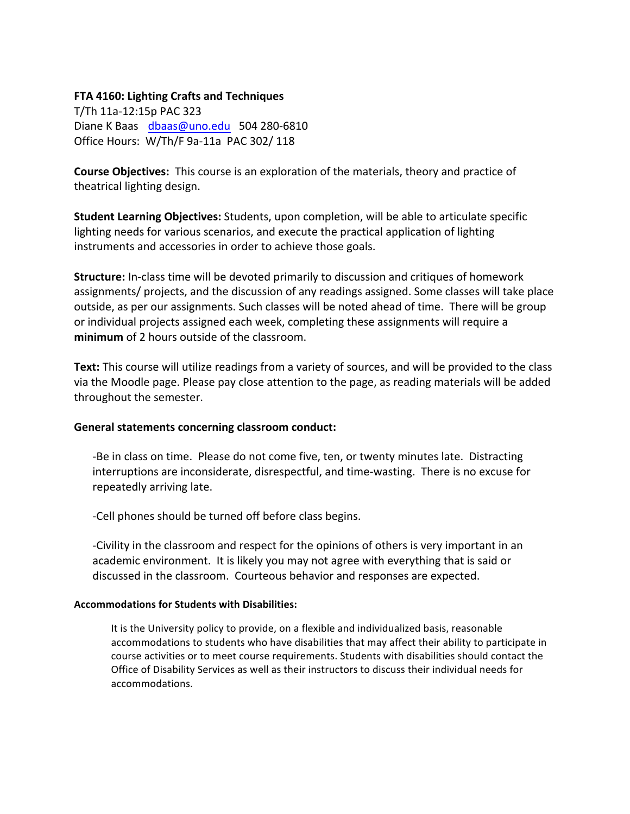### **FTA 4160: Lighting Crafts and Techniques**

T/Th 11a-12:15p PAC 323 Diane K Baas dbaas@uno.edu 504 280-6810 Office Hours: W/Th/F 9a-11a PAC 302/ 118

**Course Objectives:** This course is an exploration of the materials, theory and practice of theatrical lighting design.

**Student Learning Objectives:** Students, upon completion, will be able to articulate specific lighting needs for various scenarios, and execute the practical application of lighting instruments and accessories in order to achieve those goals.

**Structure:** In-class time will be devoted primarily to discussion and critiques of homework assignments/ projects, and the discussion of any readings assigned. Some classes will take place outside, as per our assignments. Such classes will be noted ahead of time. There will be group or individual projects assigned each week, completing these assignments will require a **minimum** of 2 hours outside of the classroom.

Text: This course will utilize readings from a variety of sources, and will be provided to the class via the Moodle page. Please pay close attention to the page, as reading materials will be added throughout the semester.

# **General statements concerning classroom conduct:**

-Be in class on time. Please do not come five, ten, or twenty minutes late. Distracting interruptions are inconsiderate, disrespectful, and time-wasting. There is no excuse for repeatedly arriving late.

-Cell phones should be turned off before class begins.

-Civility in the classroom and respect for the opinions of others is very important in an academic environment. It is likely you may not agree with everything that is said or discussed in the classroom. Courteous behavior and responses are expected.

### **Accommodations for Students with Disabilities:**

It is the University policy to provide, on a flexible and individualized basis, reasonable accommodations to students who have disabilities that may affect their ability to participate in course activities or to meet course requirements. Students with disabilities should contact the Office of Disability Services as well as their instructors to discuss their individual needs for accommodations.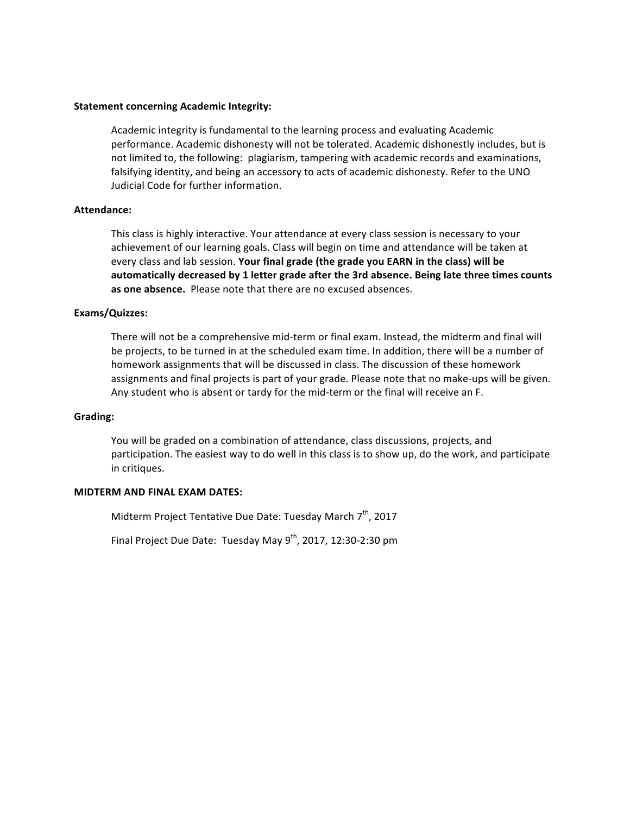Academic integrity is fundamental to the learning process and evaluating Academic performance. Academic dishonesty will not be tolerated. Academic dishonestly includes, but is not limited to, the following: plagiarism, tampering with academic records and examinations, falsifying identity, and being an accessory to acts of academic dishonesty. Refer to the UNO Judicial Code for further information. 

#### **Attendance:**

This class is highly interactive. Your attendance at every class session is necessary to your achievement of our learning goals. Class will begin on time and attendance will be taken at every class and lab session. Your final grade (the grade you EARN in the class) will be automatically decreased by 1 letter grade after the 3rd absence. Being late three times counts as one absence. Please note that there are no excused absences.

#### **Exams/Quizzes:**

There will not be a comprehensive mid-term or final exam. Instead, the midterm and final will be projects, to be turned in at the scheduled exam time. In addition, there will be a number of homework assignments that will be discussed in class. The discussion of these homework assignments and final projects is part of your grade. Please note that no make-ups will be given. Any student who is absent or tardy for the mid-term or the final will receive an F.

#### **Grading:**

You will be graded on a combination of attendance, class discussions, projects, and participation. The easiest way to do well in this class is to show up, do the work, and participate in critiques.

#### **MIDTERM AND FINAL EXAM DATES:**

Midterm Project Tentative Due Date: Tuesday March 7<sup>th</sup>, 2017

Final Project Due Date: Tuesday May  $9^{th}$ , 2017, 12:30-2:30 pm